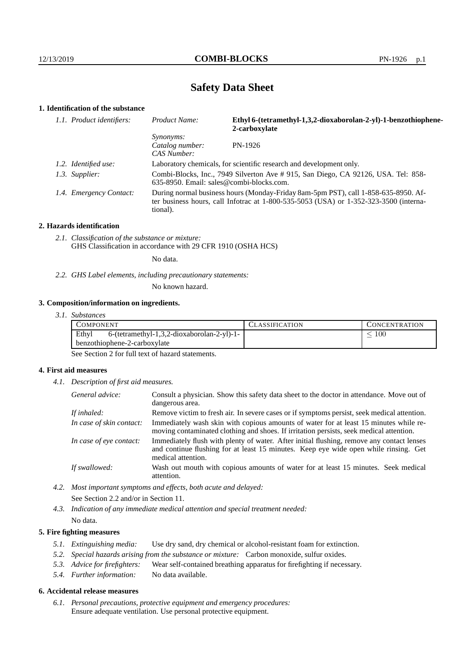# **Safety Data Sheet**

## **1. Identification of the substance**

| 1.1. Product identifiers: | Product Name:                                                                                                                                                                           | Ethyl 6-(tetramethyl-1,3,2-dioxaborolan-2-yl)-1-benzothiophene-<br>2-carboxylate |
|---------------------------|-----------------------------------------------------------------------------------------------------------------------------------------------------------------------------------------|----------------------------------------------------------------------------------|
|                           | <i>Synonyms:</i><br>Catalog number:<br>CAS Number:                                                                                                                                      | PN-1926                                                                          |
| 1.2. Identified use:      | Laboratory chemicals, for scientific research and development only.                                                                                                                     |                                                                                  |
| 1.3. Supplier:            | Combi-Blocks, Inc., 7949 Silverton Ave # 915, San Diego, CA 92126, USA. Tel: 858-<br>$635-8950$ . Email: sales@combi-blocks.com.                                                        |                                                                                  |
| 1.4. Emergency Contact:   | During normal business hours (Monday-Friday 8am-5pm PST), call 1-858-635-8950. Af-<br>ter business hours, call Infotrac at 1-800-535-5053 (USA) or 1-352-323-3500 (interna-<br>tional). |                                                                                  |

#### **2. Hazards identification**

*2.1. Classification of the substance or mixture:* GHS Classification in accordance with 29 CFR 1910 (OSHA HCS)

No data.

*2.2. GHS Label elements, including precautionary statements:*

No known hazard.

#### **3. Composition/information on ingredients.**

| 3. I.<br><i>Substances</i> |  |
|----------------------------|--|
|----------------------------|--|

| COMPONENT                                                                             | <b>ASSIFICATION</b> | CONCENTRATION. |
|---------------------------------------------------------------------------------------|---------------------|----------------|
| Ethyl<br>$6-(tetramethyl-1,3,2-dioxaborolan-2-yl)-1-$<br>benzothiophene-2-carboxylate |                     | 100            |
|                                                                                       |                     |                |

See Section 2 for full text of hazard statements.

#### **4. First aid measures**

*4.1. Description of first aid measures.*

| General advice:          | Consult a physician. Show this safety data sheet to the doctor in attendance. Move out of<br>dangerous area.                                                                                            |
|--------------------------|---------------------------------------------------------------------------------------------------------------------------------------------------------------------------------------------------------|
| If inhaled:              | Remove victim to fresh air. In severe cases or if symptoms persist, seek medical attention.                                                                                                             |
| In case of skin contact: | Immediately wash skin with copious amounts of water for at least 15 minutes while re-<br>moving contaminated clothing and shoes. If irritation persists, seek medical attention.                        |
| In case of eye contact:  | Immediately flush with plenty of water. After initial flushing, remove any contact lenses<br>and continue flushing for at least 15 minutes. Keep eye wide open while rinsing. Get<br>medical attention. |
| If swallowed:            | Wash out mouth with copious amounts of water for at least 15 minutes. Seek medical<br>attention.                                                                                                        |

*4.2. Most important symptoms and effects, both acute and delayed:* See Section 2.2 and/or in Section 11.

*4.3. Indication of any immediate medical attention and special treatment needed:* No data.

#### **5. Fire fighting measures**

- *5.1. Extinguishing media:* Use dry sand, dry chemical or alcohol-resistant foam for extinction.
- *5.2. Special hazards arising from the substance or mixture:* Carbon monoxide, sulfur oxides.
- *5.3. Advice for firefighters:* Wear self-contained breathing apparatus for firefighting if necessary.
- *5.4. Further information:* No data available.

### **6. Accidental release measures**

*6.1. Personal precautions, protective equipment and emergency procedures:* Ensure adequate ventilation. Use personal protective equipment.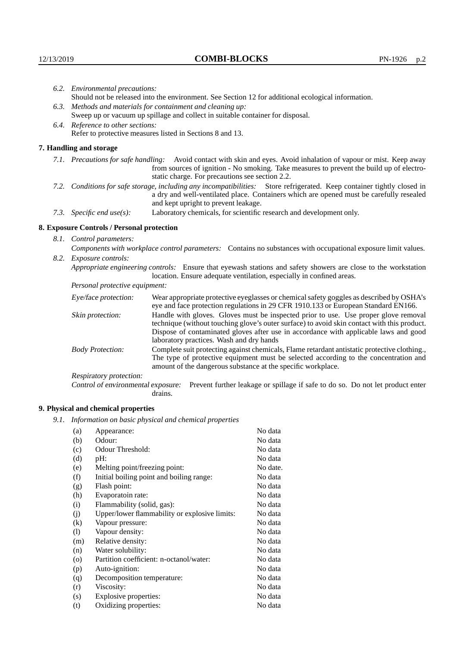|                                   | 6.2. Environmental precautions:                                                                                                                                                                                                                            |                                                                                                                                                                                                                                                                    |  |  |
|-----------------------------------|------------------------------------------------------------------------------------------------------------------------------------------------------------------------------------------------------------------------------------------------------------|--------------------------------------------------------------------------------------------------------------------------------------------------------------------------------------------------------------------------------------------------------------------|--|--|
|                                   | Should not be released into the environment. See Section 12 for additional ecological information.                                                                                                                                                         |                                                                                                                                                                                                                                                                    |  |  |
|                                   | 6.3. Methods and materials for containment and cleaning up:                                                                                                                                                                                                |                                                                                                                                                                                                                                                                    |  |  |
|                                   | Sweep up or vacuum up spillage and collect in suitable container for disposal.                                                                                                                                                                             |                                                                                                                                                                                                                                                                    |  |  |
| 6.4. Reference to other sections: |                                                                                                                                                                                                                                                            |                                                                                                                                                                                                                                                                    |  |  |
|                                   |                                                                                                                                                                                                                                                            | Refer to protective measures listed in Sections 8 and 13.                                                                                                                                                                                                          |  |  |
|                                   | 7. Handling and storage                                                                                                                                                                                                                                    |                                                                                                                                                                                                                                                                    |  |  |
|                                   |                                                                                                                                                                                                                                                            | 7.1. Precautions for safe handling: Avoid contact with skin and eyes. Avoid inhalation of vapour or mist. Keep away<br>from sources of ignition - No smoking. Take measures to prevent the build up of electro-<br>static charge. For precautions see section 2.2. |  |  |
|                                   | 7.2. Conditions for safe storage, including any incompatibilities: Store refrigerated. Keep container tightly closed in<br>a dry and well-ventilated place. Containers which are opened must be carefully resealed<br>and kept upright to prevent leakage. |                                                                                                                                                                                                                                                                    |  |  |
|                                   | Laboratory chemicals, for scientific research and development only.<br>7.3. Specific end use(s):                                                                                                                                                           |                                                                                                                                                                                                                                                                    |  |  |
|                                   | 8. Exposure Controls / Personal protection                                                                                                                                                                                                                 |                                                                                                                                                                                                                                                                    |  |  |
|                                   | 8.1. Control parameters:                                                                                                                                                                                                                                   |                                                                                                                                                                                                                                                                    |  |  |
|                                   |                                                                                                                                                                                                                                                            | Components with workplace control parameters: Contains no substances with occupational exposure limit values.                                                                                                                                                      |  |  |
|                                   | 8.2. Exposure controls:                                                                                                                                                                                                                                    |                                                                                                                                                                                                                                                                    |  |  |
|                                   | Appropriate engineering controls: Ensure that eyewash stations and safety showers are close to the workstation<br>location. Ensure adequate ventilation, especially in confined areas.                                                                     |                                                                                                                                                                                                                                                                    |  |  |
|                                   | Personal protective equipment:                                                                                                                                                                                                                             |                                                                                                                                                                                                                                                                    |  |  |
|                                   | Eye/face protection:                                                                                                                                                                                                                                       | Wear appropriate protective eyeglasses or chemical safety goggles as described by OSHA's<br>eye and face protection regulations in 29 CFR 1910.133 or European Standard EN166.                                                                                     |  |  |
|                                   | Skin protection:                                                                                                                                                                                                                                           | Handle with gloves. Gloves must be inspected prior to use. Use proper glove removal<br>technique (without touching glove's outer surface) to avoid skin contact with this product.                                                                                 |  |  |

| Eye/face protection:               | Wear appropriate protective eyeglasses or chemical safety goggles as described by OSHA's<br>eye and face protection regulations in 29 CFR 1910.133 or European Standard EN166.                                                                                                                                         |  |  |
|------------------------------------|------------------------------------------------------------------------------------------------------------------------------------------------------------------------------------------------------------------------------------------------------------------------------------------------------------------------|--|--|
| Skin protection:                   | Handle with gloves. Gloves must be inspected prior to use. Use proper glove removal<br>technique (without touching glove's outer surface) to avoid skin contact with this product.<br>Dispose of contaminated gloves after use in accordance with applicable laws and good<br>laboratory practices. Wash and dry hands |  |  |
| <b>Body Protection:</b>            | Complete suit protecting against chemicals, Flame retardant antistatic protective clothing.,<br>The type of protective equipment must be selected according to the concentration and<br>amount of the dangerous substance at the specific workplace.                                                                   |  |  |
| Respiratory protection:            |                                                                                                                                                                                                                                                                                                                        |  |  |
| Control of environmental exposure: | Prevent further leakage or spillage if safe to do so. Do not let product enter<br>drains.                                                                                                                                                                                                                              |  |  |

### **9. Physical and chemical properties**

*9.1. Information on basic physical and chemical properties*

| (a)                        | Appearance:                                   | No data  |
|----------------------------|-----------------------------------------------|----------|
| (b)                        | Odour:                                        | No data  |
| (c)                        | Odour Threshold:                              | No data  |
| (d)                        | $pH$ :                                        | No data  |
| (e)                        | Melting point/freezing point:                 | No date. |
| (f)                        | Initial boiling point and boiling range:      | No data  |
| (g)                        | Flash point:                                  | No data  |
| (h)                        | Evaporatoin rate:                             | No data  |
| (i)                        | Flammability (solid, gas):                    | No data  |
| (j)                        | Upper/lower flammability or explosive limits: | No data  |
| (k)                        | Vapour pressure:                              | No data  |
| $\left( \mathrm{l}\right)$ | Vapour density:                               | No data  |
| (m)                        | Relative density:                             | No data  |
| (n)                        | Water solubility:                             | No data  |
| $\rm (o)$                  | Partition coefficient: n-octanol/water:       | No data  |
| (p)                        | Auto-ignition:                                | No data  |
| (q)                        | Decomposition temperature:                    | No data  |
| (r)                        | Viscosity:                                    | No data  |
| (s)                        | Explosive properties:                         | No data  |
| (t)                        | Oxidizing properties:                         | No data  |